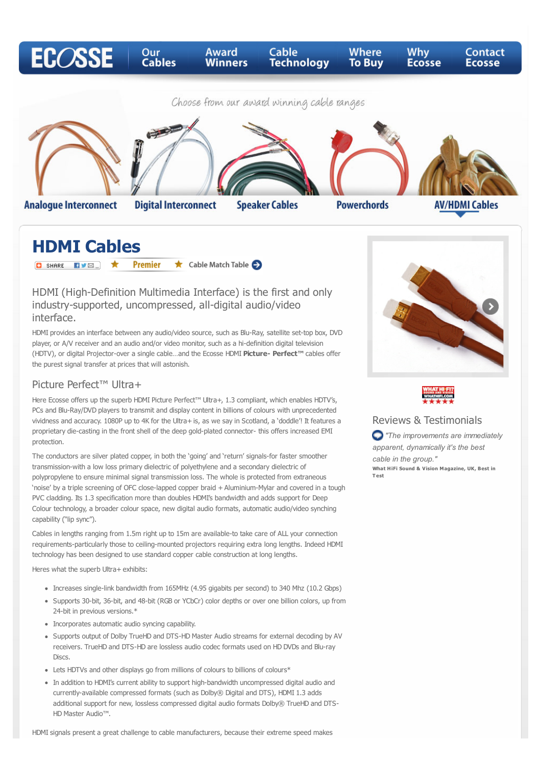

**Speaker Cables** 

**Analogue Interconnect** 

**Digital Interconnect** 

**Powerchords** 

**AV/HDMI Cables** 

# **HDMI Cables**

**O** SHARE FIVE T **Premier** Cable Match Table

## HDMI (High-Definition Multimedia Interface) is the first and only industry-supported, uncompressed, all-digital audio/video interface.

HDMI provides an interface between any audio/video source, such as Blu-Ray, satellite set-top box, DVD player, or A/V receiver and an audio and/or video monitor, such as a hi-definition digital television (HDTV), or digital Projector-over a single cable…and the Ecosse HDMI **Picture- Perfect™** cables offer the purest signal transfer at prices that will astonish.

## Picture Perfect™ Ultra+

Here Ecosse offers up the superb HDMI Picture Perfect™ Ultra+, 1.3 compliant, which enables HDTV's, PCs and Blu-Ray/DVD players to transmit and display content in billions of colours with unprecedented vividness and accuracy. 1080P up to 4K for the Ultra+ is, as we say in Scotland, a 'doddle'! It features a proprietary die-casting in the front shell of the deep gold-plated connector- this offers increased EMI protection.

The conductors are silver plated copper, in both the 'going' and 'return' signals-for faster smoother transmission-with a low loss primary dielectric of polyethylene and a secondary dielectric of polypropylene to ensure minimal signal transmission loss. The whole is protected from extraneous 'noise' by a triple screening of OFC close-lapped copper braid + Aluminium-Mylar and covered in a tough PVC cladding. Its 1.3 specification more than doubles HDMI's bandwidth and adds support for Deep Colour technology, a broader colour space, new digital audio formats, automatic audio/video synching capability ("lip sync").

Cables in lengths ranging from 1.5m right up to 15m are available-to take care of ALL your connection requirements-particularly those to ceiling-mounted projectors requiring extra long lengths. Indeed HDMI technology has been designed to use standard copper cable construction at long lengths.

Heres what the superb Ultra+ exhibits:

- Increases single-link bandwidth from 165MHz (4.95 gigabits per second) to 340 Mhz (10.2 Gbps)
- Supports 30-bit, 36-bit, and 48-bit (RGB or YCbCr) color depths or over one billion colors, up from 24-bit in previous versions.\*
- Incorporates automatic audio syncing capability.
- Supports output of Dolby TrueHD and DTS-HD Master Audio streams for external decoding by AV receivers. TrueHD and DTS-HD are lossless audio codec formats used on HD DVDs and Blu-ray Discs.
- Lets HDTVs and other displays go from millions of colours to billions of colours\*
- In addition to HDMI's current ability to support high-bandwidth uncompressed digital audio and currently-available compressed formats (such as Dolby® Digital and DTS), HDMI 1.3 adds additional support for new, lossless compressed digital audio formats Dolby® TrueHD and DTS-HD Master Audio™.

HDMI signals present a great challenge to cable manufacturers, because their extreme speed makes





### Reviews & Testimonials

*"The improvements are immediately apparent, dynamically it's the best cable in the group."*  **What HiFi Sound & Vision Magazine, UK, Best in T est**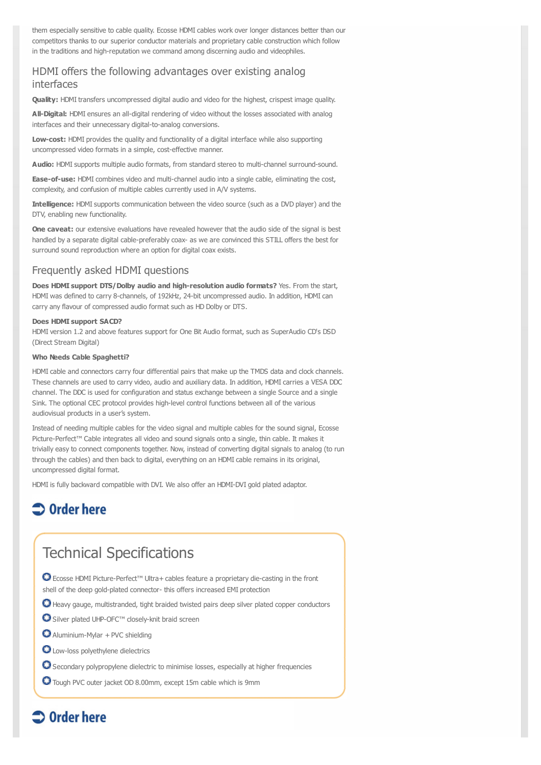them especially sensitive to cable quality. Ecosse HDMI cables work over longer distances better than our competitors thanks to our superior conductor materials and proprietary cable construction which follow in the traditions and high-reputation we command among discerning audio and videophiles.

### HDMI offers the following advantages over existing analog interfaces

**Quality:** HDMI transfers uncompressed digital audio and video for the highest, crispest image quality.

**All-Digital:** HDMI ensures an all-digital rendering of video without the losses associated with analog interfaces and their unnecessary digital-to-analog conversions.

**Low-cost:** HDMI provides the quality and functionality of a digital interface while also supporting uncompressed video formats in a simple, cost-effective manner.

**Audio:** HDMI supports multiple audio formats, from standard stereo to multi-channel surround-sound.

**Ease-of-use:** HDMI combines video and multi-channel audio into a single cable, eliminating the cost, complexity, and confusion of multiple cables currently used in A/V systems.

**Intelligence:** HDMI supports communication between the video source (such as a DVD player) and the DTV, enabling new functionality.

**One caveat:** our extensive evaluations have revealed however that the audio side of the signal is best handled by a separate digital cable-preferably coax- as we are convinced this STILL offers the best for surround sound reproduction where an option for digital coax exists.

### Frequently asked HDMI questions

**Does HDMI support DTS/Dolby audio and high-resolution audio formats?** Yes. From the start, HDMI was defined to carry 8-channels, of 192kHz, 24-bit uncompressed audio. In addition, HDMI can carry any flavour of compressed audio format such as HD Dolby or DTS.

#### **Does HDMI support SACD?**

HDMI version 1.2 and above features support for One Bit Audio format, such as SuperAudio CD's DSD (Direct Stream Digital)

#### **Who Needs Cable Spaghetti?**

HDMI cable and connectors carry four differential pairs that make up the TMDS data and clock channels. These channels are used to carry video, audio and auxiliary data. In addition, HDMI carries a VESA DDC channel. The DDC is used for configuration and status exchange between a single Source and a single Sink. The optional CEC protocol provides high-level control functions between all of the various audiovisual products in a user's system.

Instead of needing multiple cables for the video signal and multiple cables for the sound signal, Ecosse Picture-Perfect™ Cable integrates all video and sound signals onto a single, thin cable. It makes it trivially easy to connect components together. Now, instead of converting digital signals to analog (to run through the cables) and then back to digital, everything on an HDMI cable remains in its original, uncompressed digital format.

HDMI is fully backward compatible with DVI. We also offer an HDMI-DVI gold plated adaptor.

# $\supset$  Order here

# Technical Specifications

Ecosse HDMI Picture-Perfect™ Ultra+ cables feature a proprietary die-casting in the front shell of the deep gold-plated connector- this offers increased EMI protection

- $\bigcirc$  Heavy gauge, multistranded, tight braided twisted pairs deep silver plated copper conductors
- Silver plated UHP-OFC™ closely-knit braid screen
- $\bullet$  Aluminium-Mylar + PVC shielding
- **O** Low-loss polyethylene dielectrics
- **O** Secondary polypropylene dielectric to minimise losses, especially at higher frequencies
- Tough PVC outer jacket OD 8.00mm, except 15m cable which is 9mm

# $\supset$  Order here